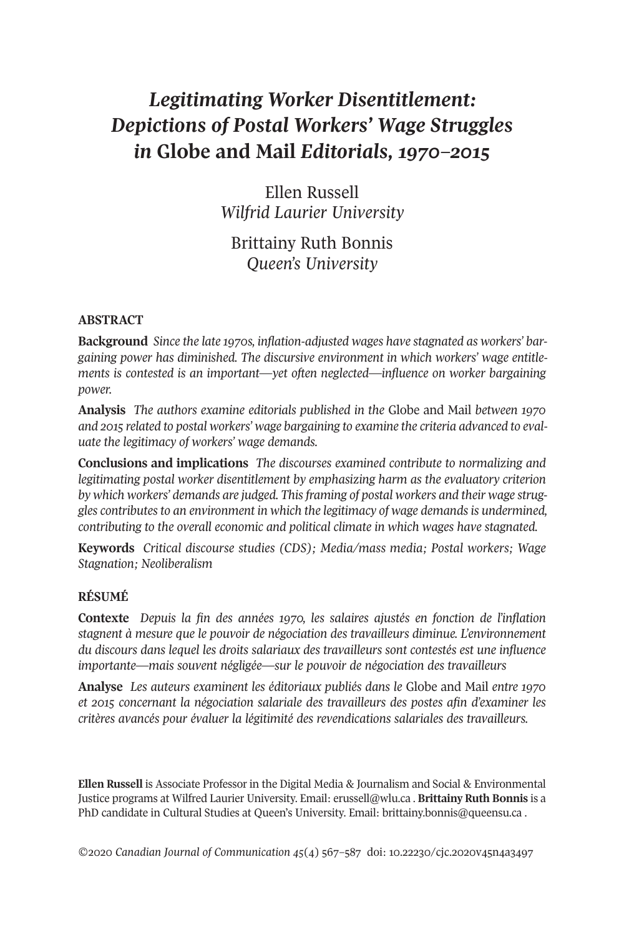# *Legitimating Worker Disentitlement: Depictions of Postal Workers' Wage Struggles in* **Globe and Mail** *Editorials, 1970–2015*

Ellen Russell *Wilfrid Laurier University*

Brittainy Ruth Bonnis *Queen's University*

## **ABSTRACT**

**Background** *Since the late 1970s, inflation-adjusted wages have stagnated as workers' bargaining power has diminished. The discursive environment in which workers' wage entitlements is contested is an important—yet often neglected—influence on worker bargaining power.*

**Analysis** *The authors examine editorials published in the* Globe and Mail *between 1970 and 2015 related to postal workers' wage bargaining to examine the criteria advanced to evaluate the legitimacy of workers' wage demands.*

**Conclusions and implications** *The discourses examined contribute to normalizing and legitimating postal worker disentitlement by emphasizing harm as the evaluatory criterion by which workers' demands are judged. Thisframing of postal workers and their wage struggles contributes to an environment in which the legitimacy of wage demands is undermined, contributing to the overall economic and political climate in which wages have stagnated.*

**Keywords** *Critical discourse studies (CDS); Media/mass media; Postal workers; Wage Stagnation; Neoliberalism*

# **RÉSUMÉ**

**Contexte** *Depuis la fin des années 1970, les salaires ajustés en fonction de l'inflation stagnent à mesure que le pouvoir de négociation des travailleurs diminue. L'environnement du discours dans lequel les droits salariaux des travailleurs sont contestés est une influence importante—mais souvent négligée—sur le pouvoir de négociation des travailleurs*

**Analyse** *Les auteurs examinent les éditoriaux publiés dans le* Globe and Mail *entre 1970 et 2015 concernant la négociation salariale des travailleurs des postes afin d'examiner les critères avancés pour évaluer la légitimité des revendications salariales des travailleurs.*

**Ellen Russell** is Associate Professor in the Digital Media & Journalism and Social & Environmental Justice programs at Wilfred Laurier University. Email: [erussell@wlu.ca](mailto:erussell@wlu.ca) . **Brittainy Ruth Bonnis** is a PhD candidate in Cultural Studies at Queen's University. Email: [brittainy.bonnis@queensu.ca](mailto:brittainy.bonnis@queensu.ca).

*©*2020 *Canadian Journal of [Communication](http://www.cjc-online.ca) 45*(4) 567–587 doi: [10.22230/cjc.2020v45n4a3497](http://doi.org/10.22230/cjc.2020v45n4a3497)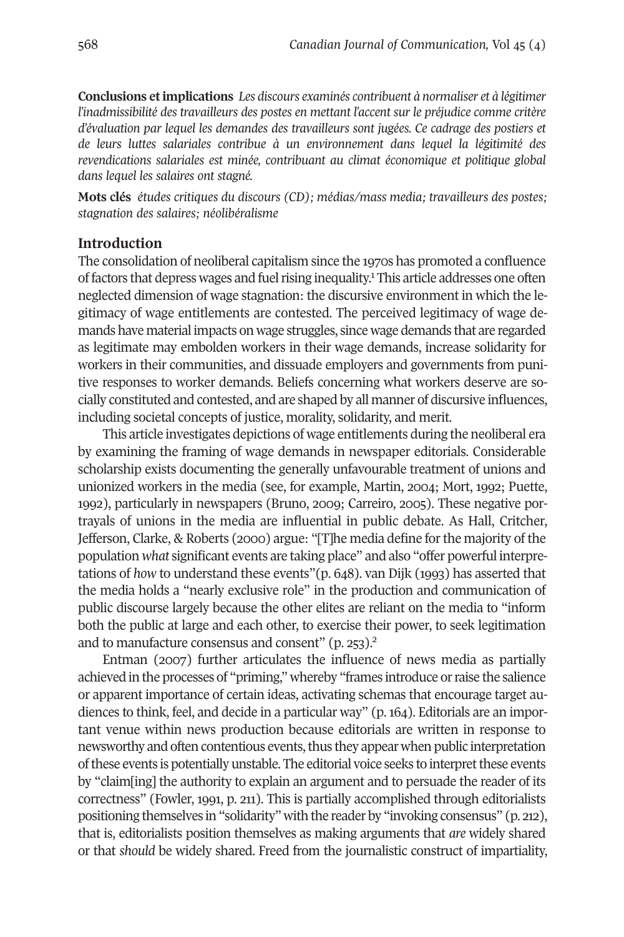**Conclusions etimplications** *Les discours examinés contribuent à normaliser et à légitimer l'inadmissibilité des travailleurs des postes en mettant l'accent sur le préjudice comme critère d'évaluation par lequel les demandes des travailleurs sont jugées. Ce cadrage des postiers et de leurs luttes salariales contribue à un environnement dans lequel la légitimité des revendications salariales est minée, contribuant au climat économique et politique global dans lequel les salaires ont stagné.*

**Mots clés** *études critiques du discours (CD); médias/mass media; travailleurs des postes; stagnation des salaires; néolibéralisme*

# **Introduction**

The consolidation of neoliberal capitalism since the 1[97](#page-17-0)0s has promoted a confluence of factors that depress wages and fuel rising inequality.<sup>1</sup> This article addresses one often neglected dimension of wage stagnation: the discursive environment in which the legitimacy of wage entitlements are contested. The perceived legitimacy of wage demands have material impacts on wage struggles, since wage demands that are regarded as legitimate may embolden workers in their wage demands, increase solidarity for workers in their communities, and dissuade employers and governments from punitive responses to worker demands. Beliefs concerning what workers deserve are socially constituted and contested, and are shaped by all manner of discursive influences, including societal concepts of justice, morality, solidarity, and merit.

This article investigates depictions of wage entitlements during the neoliberal era by examining the framing of wage demands in newspaper editorials. Considerable scholarship exists documenting the generally unfavourable treatment of unions and unionized workers in the media (see, for example, Martin, 2004; Mort, 1992; Puette, 1992), particularly in newspapers (Bruno, 2009; Carreiro, 2005). These negative portrayals of unions in the media are influential in public debate. As Hall, Critcher, Jefferson, Clarke, & Roberts (2000) argue: "[T]he media define forthe majority of the population *what* significant events are taking place" and also "offer powerful interpretations of *how* to understand these events"(p. 648). van Dijk (1993) has asserted that the media holds a "nearly exclusive role" in the production and communication of public discourse largely because the other elites are reliant on the media to "inform both the public at large and each other, to exercise t[he](#page-17-1)ir power, to seek legitimation and to manufacture consensus and consent" (p. 253). 2

Entman (2007) further articulates the influence of news media as partially achieved in the processes of "priming," whereby "frames introduce orraise the salience or apparent importance of certain ideas, activating schemas that encourage target audiences to think, feel, and decide in a particular way" (p. 164). Editorials are an important venue within news production because editorials are written in response to newsworthy and often contentious events, thus they appear when public interpretation ofthese events is potentially unstable. The editorial voice seeks to interpretthese events by "claim[ing] the authority to explain an argument and to persuade the reader of its correctness" (Fowler, 1991, p. 211). This is partially accomplished through editorialists positioning themselves in "solidarity" with the reader by "invoking consensus" (p. 212), that is, editorialists position themselves as making arguments that *are* widely shared or that *should* be widely shared. Freed from the journalistic construct of impartiality,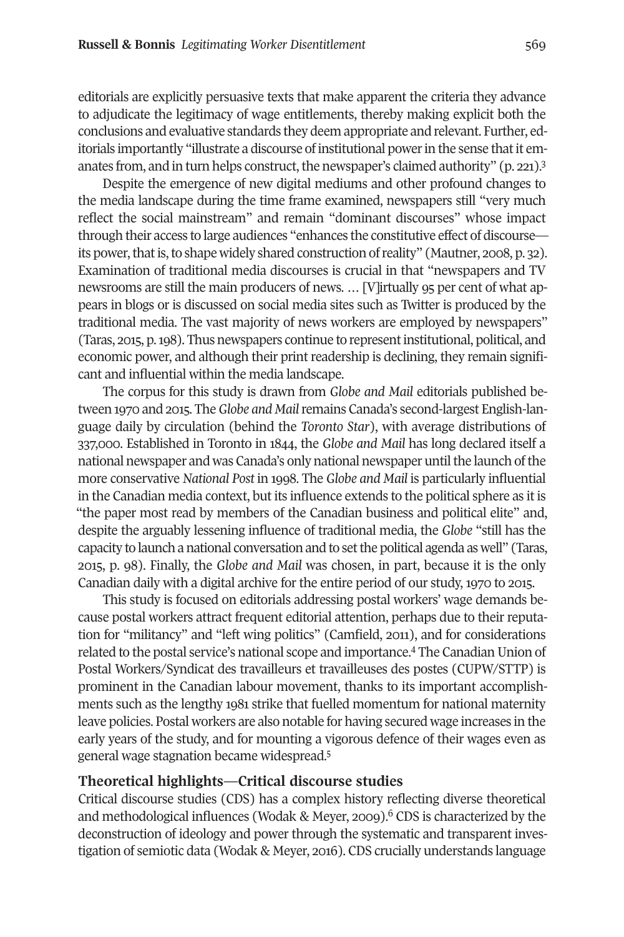editorials are explicitly persuasive texts that make apparent the criteria they advance to adjudicate the legitimacy of wage entitlements, thereby making explicit both the conclusions and evaluative standards they deem appropriate and relevant. Further, editorials importantly "illustrate a discourse of institutional power in the sense that it emanates from, and in turn helps construct, the newspaper's claimed authority" (p. 221).<sup>3</sup>

Despite the emergence of new digital mediums and other profound changes to the media landscape during the time frame examined, newspapers still "very much reflect the social mainstream" and remain "dominant discourses" whose impact through their access to large audiences "enhances the constitutive effect of discourse its power, that is, to shape widely shared construction of reality" (Mautner, 2008, p. 32). Examination of traditional media discourses is crucial in that "newspapers and TV newsrooms are still the main producers of news. … [V]irtually 95 per cent of what appears in blogs or is discussed on social media sites such as Twitter is produced by the traditional media. The vast majority of news workers are employed by newspapers" (Taras, 2015, p.198). Thus newspapers continue to representinstitutional, political, and economic power, and although their print readership is declining, they remain significant and influential within the media landscape.

The corpus for this study is drawn from *Globe and Mail* editorials published between 1970 and 2015. The*Globe and Mail*remains Canada's second-largest English-language daily by circulation (behind the *Toronto Star*), with average distributions of 337,000. Established in Toronto in 1844, the *Globe and Mail* has long declared itself a national newspaper and was Canada's only national newspaper until the launch of the more conservative *National Post* in 1998. The *Globe and Mail* is particularly influential in the Canadian media context, but its influence extends to the political sphere as it is "the paper most read by members of the Canadian business and political elite" and, despite the arguably lessening influence of traditional media, the *Globe* "still has the capacity to launch a national conversation and to setthe political agenda as well" (Taras, 2015, p. 98). Finally, the *Globe and Mail* was chosen, in part, because it is the only Canadian daily with a digital archive for the entire period of our study, 1970 to 2015.

This study is focused on editorials addressing postal workers' wage demands because postal workers attract frequent editorial attention, perhaps due to their reputation for "militancy" and "left wing politics" (Camfield, 2011), and for considerations related to the postal service's national scope and importance.<sup>4</sup> The Canadian Union of Postal Workers/Syndicat des travailleurs et travailleuses des postes (CUPW/STTP) is prominent in the Canadian labour movement, thanks to its important accomplishments such as the lengthy 1981 strike that fuelled momentum for national maternity leave policies. Postal workers are also notable for having secured wage increases in the early years of the study, and for mounting a vigorous defence of their wages even as general wage stagnation became widespread. 5

# **Theoretical highlights—Critical discourse studies**

Critical discourse studies (CDS) has a complex history reflecting diverse theoretical and methodological influences (Wodak & Meyer, 2009). <sup>6</sup> CDS is characterized by the deconstruction of ideology and power through the systematic and transparent investigation of semiotic data (Wodak & Meyer, 2016). CDS crucially understands language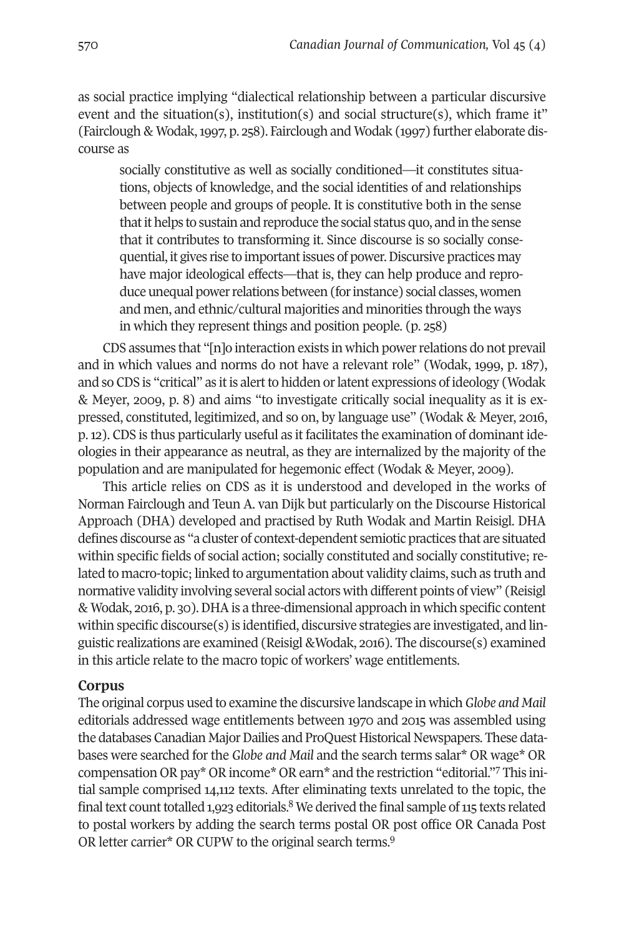as social practice implying "dialectical relationship between a particular discursive event and the situation(s), institution(s) and social structure(s), which frame it" (Fairclough & Wodak,1997, p. 258). Fairclough and Wodak (1997) further elaborate discourse as

socially constitutive as well as socially conditioned—it constitutes situations, objects of knowledge, and the social identities of and relationships between people and groups of people. It is constitutive both in the sense that it helps to sustain and reproduce the social status quo, and in the sense that it contributes to transforming it. Since discourse is so socially consequential, it gives rise to important issues of power. Discursive practices may have major ideological effects—that is, they can help produce and reproduce unequal power relations between (for instance) social classes, women and men, and ethnic/cultural majorities and minorities through the ways in which they represent things and position people. (p. 258)

CDS assumes that "[n]o interaction exists in which powerrelations do not prevail and in which values and norms do not have a relevant role" (Wodak, 1999, p. 187), and so CDS is "critical" as it is alert to hidden or latent expressions of ideology (Wodak & Meyer, 2009, p. 8) and aims "to investigate critically social inequality as it is expressed, constituted, legitimized, and so on, by language use" (Wodak & Meyer, 2016, p.12). CDS is thus particularly useful as it facilitates the examination of dominant ideologies in their appearance as neutral, as they are internalized by the majority of the population and are manipulated for hegemonic effect (Wodak & Meyer, 2009).

This article relies on CDS as it is understood and developed in the works of Norman Fairclough and Teun A. van Dijk but particularly on the Discourse Historical Approach (DHA) developed and practised by Ruth Wodak and Martin Reisigl. DHA defines discourse as "a cluster of context-dependent semiotic practices that are situated within specific fields of social action; socially constituted and socially constitutive; related to macro-topic; linked to argumentation about validity claims, such as truth and normative validity involving several social actors with different points of view" (Reisigl & Wodak, 2016, p. 30).DHAis a three-dimensional approach in which specific content within specific discourse(s) is identified, discursive strategies are investigated, and linguistic realizations are examined (Reisigl &Wodak, 2016). The discourse(s) examined in this article relate to the macro topic of workers' wage entitlements.

# **Corpus**

The original corpus used to examine the discursive landscape in which*Globe and Mail* editorials addressed wage entitlements between 1970 and 2015 was assembled using the databases Canadian Major Dailies and ProQuest Historical Newspapers. These databases were searched for the *Globe and Mail* and the search terms salar\* OR [wa](#page-17-2)ge\* OR compensation OR pay\* OR income\* OR earn\* and the restriction "editorial."7 This initial sample comprised 14,112 texts. Af[ter](#page-17-3) eliminating texts unrelated to the topic, the final text count totalled 1,923 editorials. $8$  We derived the final sample of 115 texts related to postal workers by adding the search terms postal OR post office OR Canada Post OR letter carrier\* OR CUPW to the original search terms.<sup>[9](#page-17-4)</sup>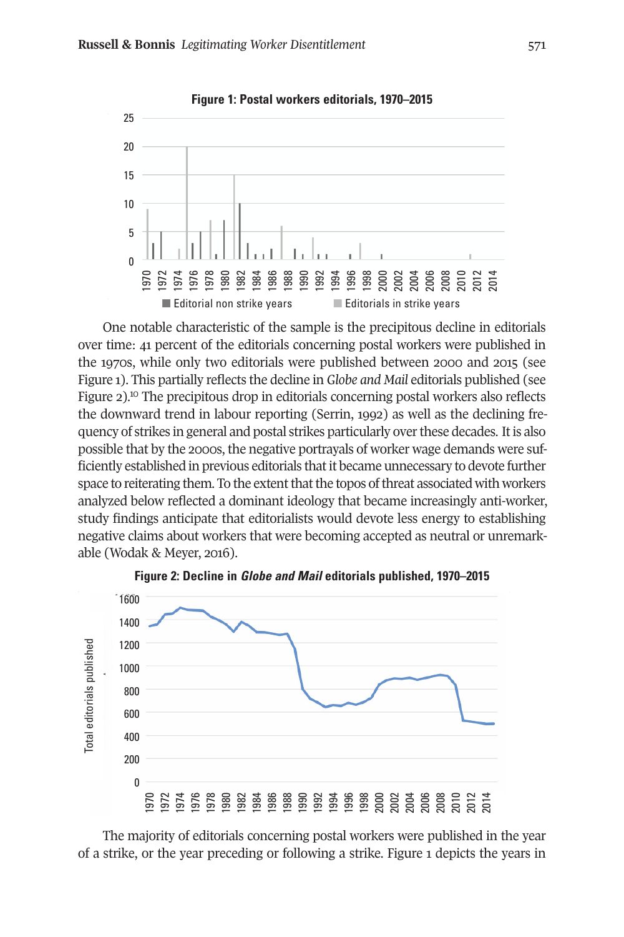

One notable characteristic of the sample is the precipitous decline in editorials over time: 41 percent of the editorials concerning postal workers were published in the 1970s, while only two editorials were published between 2000 and 2015 (see Figure 1). This partially reflects the decline in *Globe and Mail* editorials published (see Figure 2).<sup>[10](#page-18-0)</sup> The precipitous drop in editorials concerning postal workers also reflects the downward trend in labour reporting (Serrin, 1992) as well as the declining frequency of strikes in general and postal strikes particularly overthese decades. Itis also possible that by the 2000s, the negative portrayals of worker wage demands were sufficiently established in previous editorials thatit became unnecessary to devote further space to reiterating them. To the extent that the topos of threat associated with workers analyzed below reflected a dominant ideology that became increasingly anti-worker, study findings anticipate that editorialists would devote less energy to establishing negative claims about workers that were becoming accepted as neutral or unremarkable (Wodak & Meyer, 2016).



**Figure 2: Decline in Globe and Mail editorials published, 1970–2015**

The majority of editorials concerning postal workers were published in the year of a strike, or the year preceding or following a strike. Figure 1 depicts the years in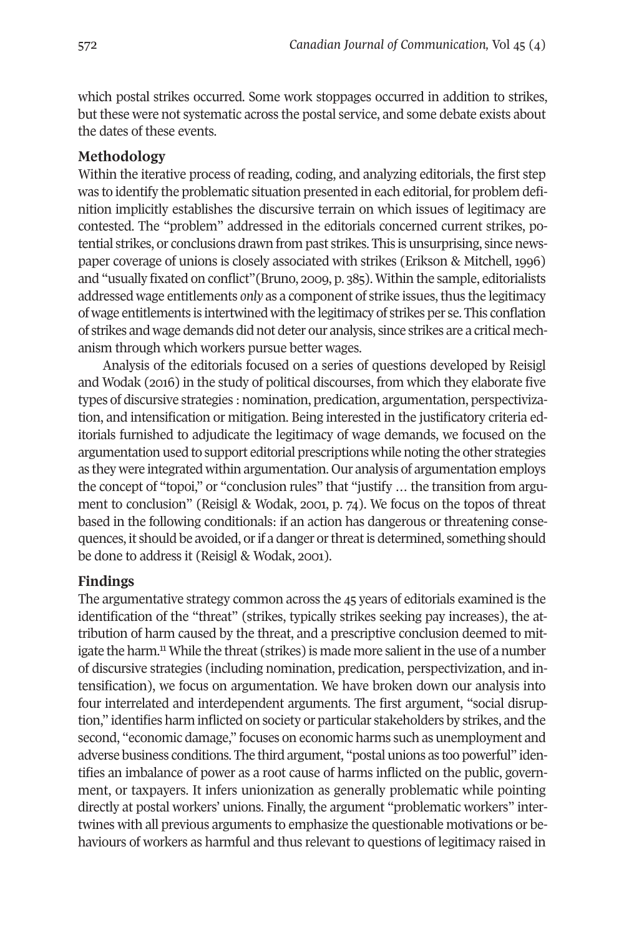which postal strikes occurred. Some work stoppages occurred in addition to strikes, but these were not systematic across the postal service, and some debate exists about the dates of these events.

# **Methodology**

Within the iterative process of reading, coding, and analyzing editorials, the first step was to identify the problematic situation presented in each editorial, for problem definition implicitly establishes the discursive terrain on which issues of legitimacy are contested. The "problem" addressed in the editorials concerned current strikes, potential strikes, or conclusions drawn from past strikes. This is unsurprising, since newspaper coverage of unions is closely associated with strikes (Erikson & Mitchell, 1996) and "usually fixated on conflict"(Bruno, 2009, p. 385). Within the sample, editorialists addressed wage entitlements *only* as a component of strike issues,thus the legitimacy of wage entitlements is intertwined with the legitimacy of strikes per se. This conflation of strikes and wage demands did not deter our analysis, since strikes are a critical mechanism through which workers pursue better wages.

Analysis of the editorials focused on a series of questions developed by Reisigl and Wodak (2016) in the study of political discourses, from which they elaborate five types of discursive strategies : nomination, predication, argumentation, perspectivization, and intensification or mitigation. Being interested in the justificatory criteria editorials furnished to adjudicate the legitimacy of wage demands, we focused on the argumentation used to support editorial prescriptions while noting the other strategies as they were integrated within argumentation. Our analysis of argumentation employs the concept of "topoi," or "conclusion rules" that "justify … the transition from argument to conclusion" (Reisigl & Wodak, 2001, p. 74). We focus on the topos of threat based in the following conditionals: if an action has dangerous or threatening consequences, it should be avoided, or if a danger or threat is determined, something should be done to address it (Reisigl & Wodak, 2001).

# **Findings**

The argumentative strategy common across the 45 years of editorials examined is the identification of the "threat" (strikes, typically strikes seeking pay increases), the attribution of h[arm](#page-18-1) caused by the threat, and a prescriptive conclusion deemed to mitigate the harm.<sup>11</sup> While the threat (strikes) is made more salient in the use of a number of discursive strategies (including nomination, predication, perspectivization, and intensification), we focus on argumentation. We have broken down our analysis into four interrelated and interdependent arguments. The first argument, "social disruption," identifies harm inflicted on society or particular stakeholders by strikes, and the second, "economic damage," focuses on economic harms such as unemployment and adverse business conditions. The third argument, "postal unions as too powerful" identifies an imbalance of power as a root cause of harms inflicted on the public, government, or taxpayers. It infers unionization as generally problematic while pointing directly at postal workers' unions. Finally, the argument "problematic workers" intertwines with all previous arguments to emphasize the questionable motivations or behaviours of workers as harmful and thus relevant to questions of legitimacy raised in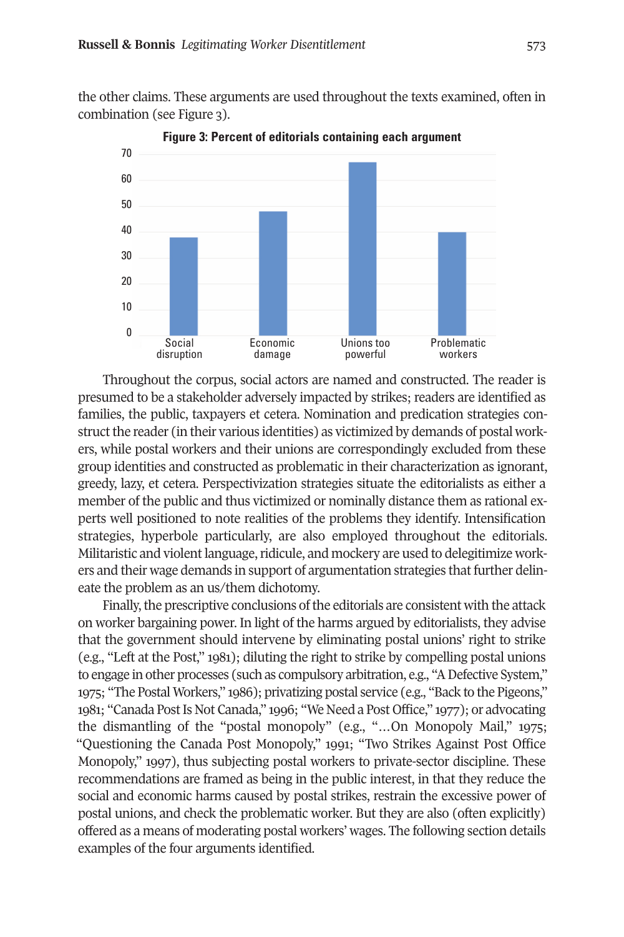the other claims. These arguments are used throughout the texts examined, often in combination (see Figure 3).



**Figure 3: Percent of editorials containing each argument**

Throughout the corpus, social actors are named and constructed. The reader is presumed to be a stakeholder adversely impacted by strikes; readers are identified as families, the public, taxpayers et cetera. Nomination and predication strategies construct the reader (in their various identities) as victimized by demands of postal workers, while postal workers and their unions are correspondingly excluded from these group identities and constructed as problematic in their characterization as ignorant, greedy, lazy, et cetera. Perspectivization strategies situate the editorialists as either a member of the public and thus victimized or nominally distance them as rational experts well positioned to note realities of the problems they identify. Intensification strategies, hyperbole particularly, are also employed throughout the editorials. Militaristic and violent language, ridicule, and mockery are used to delegitimize workers and their wage demands in support of argumentation strategies that further delineate the problem as an us/them dichotomy.

Finally, the prescriptive conclusions of the editorials are consistent with the attack on worker bargaining power. In light of the harms argued by editorialists, they advise that the government should intervene by eliminating postal unions' right to strike (e.g., "Left at the Post," 1981); diluting the right to strike by compelling postal unions to engage in other processes (such as compulsory arbitration, e.g., "A Defective System," 1975; "The Postal Workers," 1986); privatizing postal service (e.g., "Back to the Pigeons," 1981; "Canada Post Is Not Canada," 1996; "We Need a Post Office," 1977); or advocating the dismantling of the "postal monopoly" (e.g., "…On Monopoly Mail," 1975; "Questioning the Canada Post Monopoly," 1991; "Two Strikes Against Post Office Monopoly," 1997), thus subjecting postal workers to private-sector discipline. These recommendations are framed as being in the public interest, in that they reduce the social and economic harms caused by postal strikes, restrain the excessive power of postal unions, and check the problematic worker. But they are also (often explicitly) offered as a means of moderating postal workers' wages. The following section details examples of the four arguments identified.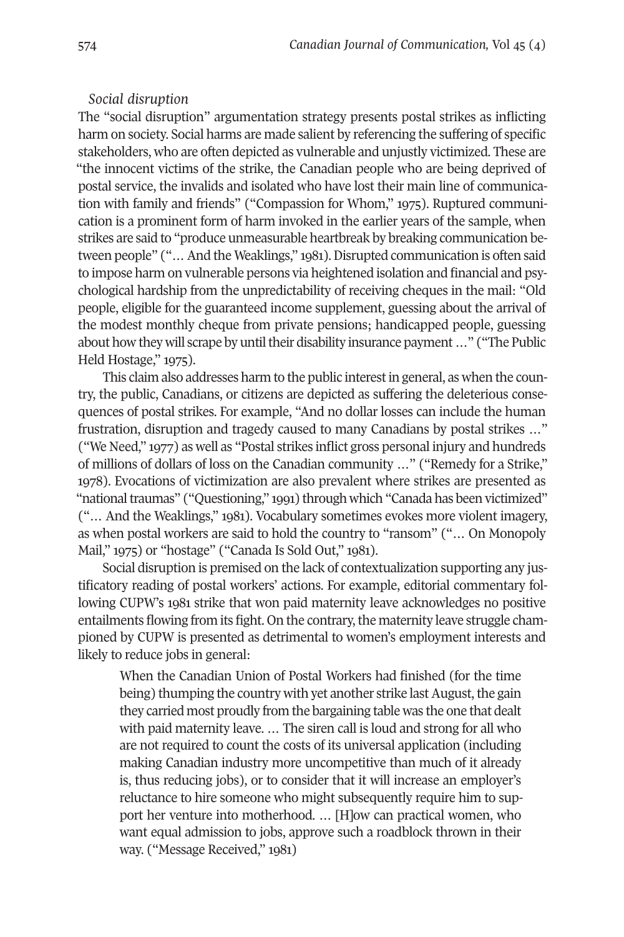#### *Social disruption*

The "social disruption" argumentation strategy presents postal strikes as inflicting harm on society. Social harms are made salient by referencing the suffering of specific stakeholders, who are often depicted as vulnerable and unjustly victimized. These are "the innocent victims of the strike, the Canadian people who are being deprived of postal service, the invalids and isolated who have lost their main line of communication with family and friends" ("Compassion for Whom," 1975). Ruptured communication is a prominent form of harm invoked in the earlier years of the sample, when strikes are said to "produce unmeasurable heartbreak by breaking communication between people" ("... And the Weaklings," 1981). Disrupted communication is often said to impose harm on vulnerable persons via heightened isolation and financial and psychological hardship from the unpredictability of receiving cheques in the mail: "Old people, eligible for the guaranteed income supplement, guessing about the arrival of the modest monthly cheque from private pensions; handicapped people, guessing about how they will scrape by until their disability insurance payment ..." ("The Public Held Hostage," 1975).

This claim also addresses harm to the public interestin general, as when the country, the public, Canadians, or citizens are depicted as suffering the deleterious consequences of postal strikes. For example, "And no dollar losses can include the human frustration, disruption and tragedy caused to many Canadians by postal strikes …" ("We Need," 1977) as well as "Postal strikes inflict gross personal injury and hundreds of millions of dollars of loss on the Canadian community …" ("Remedy for a Strike," 1978). Evocations of victimization are also prevalent where strikes are presented as "national traumas" ("Questioning," 1991) through which "Canada has been victimized" ("… And the Weaklings," 1981). Vocabulary sometimes evokes more violent imagery, as when postal workers are said to hold the country to "ransom" ("… On Monopoly Mail," 1975) or "hostage" ("Canada Is Sold Out," 1981).

Social disruption is premised on the lack of contextualization supporting any justificatory reading of postal workers' actions. For example, editorial commentary following CUPW's 1981 strike that won paid maternity leave acknowledges no positive entailments flowing from its fight. On the contrary, the maternity leave struggle championed by CUPW is presented as detrimental to women's employment interests and likely to reduce jobs in general:

When the Canadian Union of Postal Workers had finished (for the time being) thumping the country with yet another strike last August, the gain they carried most proudly from the bargaining table was the one that dealt with paid maternity leave. … The siren call is loud and strong for all who are not required to count the costs of its universal application (including making Canadian industry more uncompetitive than much of it already is, thus reducing jobs), or to consider that it will increase an employer's reluctance to hire someone who might subsequently require him to support her venture into motherhood. … [H]ow can practical women, who want equal admission to jobs, approve such a roadblock thrown in their way. ("Message Received," 1981)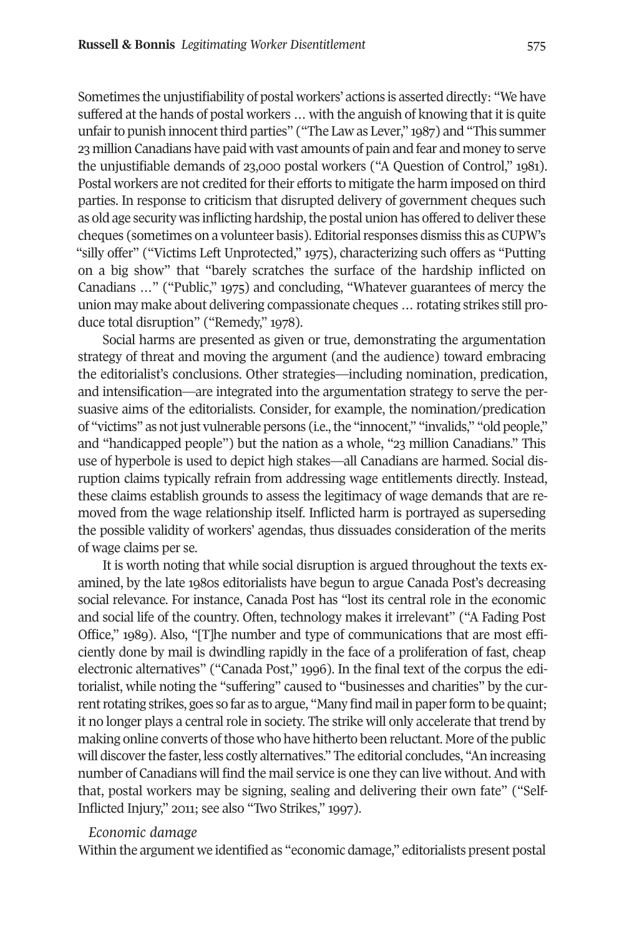Sometimes the unjustifiability of postal workers' actions is asserted directly: "We have suffered at the hands of postal workers … with the anguish of knowing that it is quite unfair to punish innocent third parties" ("The Law as Lever," 1987) and "This summer 23 million Canadians have paid with vast amounts of pain and fear and money to serve the unjustifiable demands of 23,000 postal workers ("A Question of Control," 1981). Postal workers are not credited for their efforts to mitigate the harm imposed on third parties. In response to criticism that disrupted delivery of government cheques such as old age security was inflicting hardship, the postal union has offered to deliver these cheques (sometimes on a volunteer basis). Editorial responses dismiss this as CUPW's "silly offer" ("Victims Left Unprotected," 1975), characterizing such offers as "Putting on a big show" that "barely scratches the surface of the hardship inflicted on Canadians …" ("Public," 1975) and concluding, "Whatever guarantees of mercy the union may make about delivering compassionate cheques … rotating strikes still produce total disruption" ("Remedy," 1978).

Social harms are presented as given or true, demonstrating the argumentation strategy of threat and moving the argument (and the audience) toward embracing the editorialist's conclusions. Other strategies—including nomination, predication, and intensification—are integrated into the argumentation strategy to serve the persuasive aims of the editorialists. Consider, for example, the nomination/predication of "victims" as not just vulnerable persons (i.e., the "innocent," "invalids," "old people," and "handicapped people") but the nation as a whole, "23 million Canadians." This use of hyperbole is used to depict high stakes—all Canadians are harmed. Social disruption claims typically refrain from addressing wage entitlements directly. Instead, these claims establish grounds to assess the legitimacy of wage demands that are removed from the wage relationship itself. Inflicted harm is portrayed as superseding the possible validity of workers' agendas, thus dissuades consideration of the merits of wage claims per se.

It is worth noting that while social disruption is argued throughout the texts examined, by the late 1980s editorialists have begun to argue Canada Post's decreasing social relevance. For instance, Canada Post has "lost its central role in the economic and social life of the country. Often, technology makes it irrelevant" ("A Fading Post Office," 1989). Also, "[T]he number and type of communications that are most efficiently done by mail is dwindling rapidly in the face of a proliferation of fast, cheap electronic alternatives" ("Canada Post," 1996). In the final text of the corpus the editorialist, while noting the "suffering" caused to "businesses and charities" by the current rotating strikes, goes so far as to argue, "Many find mail in paper form to be quaint; it no longer plays a central role in society. The strike will only accelerate that trend by making online converts of those who have hitherto been reluctant. More of the public will discover the faster, less costly alternatives." The editorial concludes, "An increasing number of Canadians will find the mail service is one they can live without. And with that, postal workers may be signing, sealing and delivering their own fate" ("Self-Inflicted Injury," 2011; see also "Two Strikes," 1997).

#### *Economic damage*

Within the argument we identified as "economic damage," editorialists present postal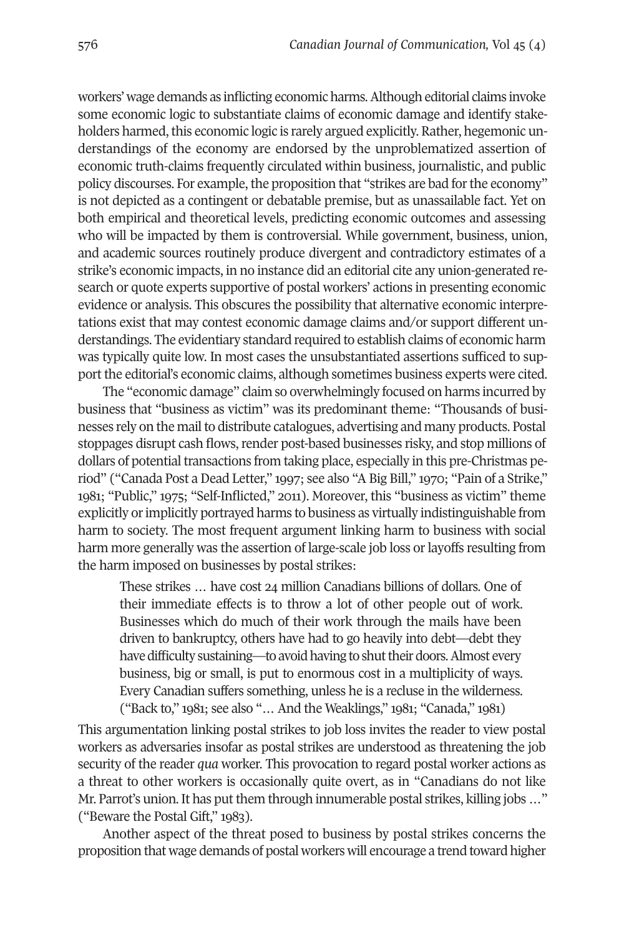workers' wage demands as inflicting economic harms.Although editorial claims invoke some economic logic to substantiate claims of economic damage and identify stakeholders harmed, this economic logic is rarely argued explicitly. Rather, hegemonic understandings of the economy are endorsed by the unproblematized assertion of economic truth-claims frequently circulated within business, journalistic, and public policy discourses. For example, the proposition that "strikes are bad for the economy" is not depicted as a contingent or debatable premise, but as unassailable fact. Yet on both empirical and theoretical levels, predicting economic outcomes and assessing who will be impacted by them is controversial. While government, business, union, and academic sources routinely produce divergent and contradictory estimates of a strike's economic impacts, in no instance did an editorial cite any union-generated research or quote experts supportive of postal workers' actions in presenting economic evidence or analysis. This obscures the possibility that alternative economic interpretations exist that may contest economic damage claims and/or support different understandings. The evidentiary standard required to establish claims of economic harm was typically quite low. In most cases the unsubstantiated assertions sufficed to support the editorial's economic claims, although sometimes business experts were cited.

The "economic damage" claim so overwhelmingly focused on harms incurred by business that "business as victim" was its predominant theme: "Thousands of businesses rely on the mail to distribute catalogues, advertising and many products. Postal stoppages disrupt cash flows, render post-based businesses risky, and stop millions of dollars of potential transactions from taking place, especially in this pre-Christmas period" ("Canada Post a Dead Letter," 1997; see also "A Big Bill," 1970; "Pain of a Strike," 1981; "Public," 1975; "Self-Inflicted," 2011). Moreover, this "business as victim" theme explicitly orimplicitly portrayed harms to business as virtually indistinguishable from harm to society. The most frequent argument linking harm to business with social harm more generally was the assertion of large-scale job loss or layoffs resulting from the harm imposed on businesses by postal strikes:

These strikes … have cost 24 million Canadians billions of dollars. One of their immediate effects is to throw a lot of other people out of work. Businesses which do much of their work through the mails have been driven to bankruptcy, others have had to go heavily into debt—debt they have difficulty sustaining—to avoid having to shut their doors. Almost every business, big or small, is put to enormous cost in a multiplicity of ways. Every Canadian suffers something, unless he is a recluse in the wilderness. ("Back to," 1981; see also "… And the Weaklings," 1981; "Canada," 1981)

This argumentation linking postal strikes to job loss invites the reader to view postal workers as adversaries insofar as postal strikes are understood as threatening the job security of the reader *qua* worker. This provocation to regard postal worker actions as a threat to other workers is occasionally quite overt, as in "Canadians do not like Mr. Parrot's union. It has put them through innumerable postal strikes, killing jobs ..." ("Beware the Postal Gift," 1983).

Another aspect of the threat posed to business by postal strikes concerns the proposition that wage demands of postal workers will encourage a trend toward higher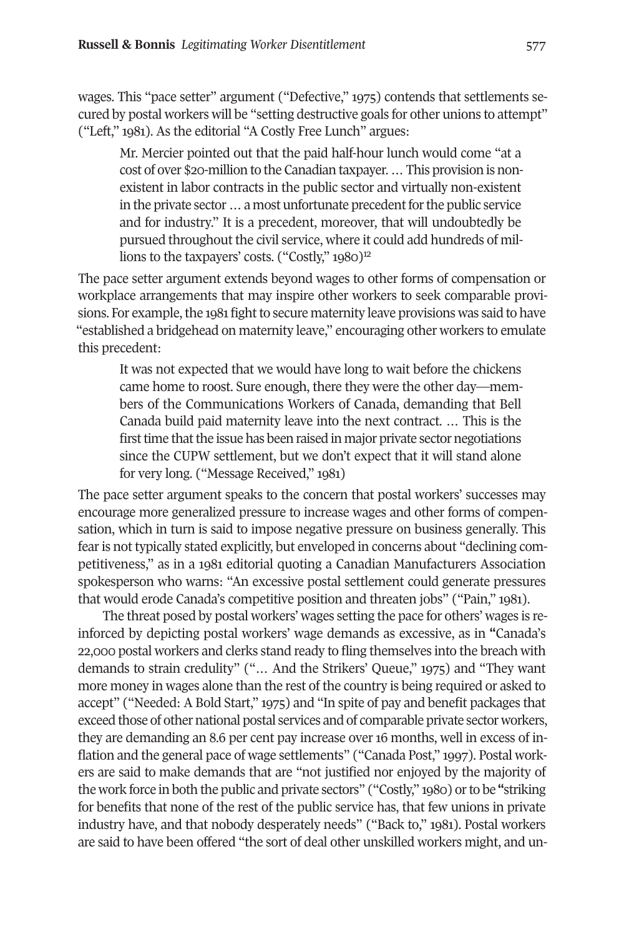wages. This "pace setter" argument ("Defective," 1975) contends that settlements secured by postal workers will be "setting destructive goals for other unions to attempt" ("Left," 1981). As the editorial "A Costly Free Lunch" argues:

Mr. Mercier pointed out that the paid half-hour lunch would come "at a cost of over \$20-million to the Canadian taxpayer.…This provision is nonexistent in labor contracts in the public sector and virtually non-existent in the private sector ... a most unfortunate precedent for the public service and for industry." It is a precedent, moreover, that will undoubtedly be pursued throughout the civil service, where it could add hundreds of millions to the taxpayers' costs.  $("Costly," 1980)<sup>12</sup>$ 

The pace setter argument extends beyond wages to other forms of compensation or workplace arrangements that may inspire other workers to seek comparable provisions. For example, the 1981 fight to secure maternity leave provisions was said to have "established a bridgehead on maternity leave," encouraging other workers to emulate this precedent:

It was not expected that we would have long to wait before the chickens came home to roost. Sure enough, there they were the other day—members of the Communications Workers of Canada, demanding that Bell Canada build paid maternity leave into the next contract. … This is the first time that the issue has been raised in major private sector negotiations since the CUPW settlement, but we don't expect that it will stand alone for very long. ("Message Received," 1981)

The pace setter argument speaks to the concern that postal workers' successes may encourage more generalized pressure to increase wages and other forms of compensation, which in turn is said to impose negative pressure on business generally. This fearis not typically stated explicitly, but enveloped in concerns about "declining competitiveness," as in a 1981 editorial quoting a Canadian Manufacturers Association spokesperson who warns: "An excessive postal settlement could generate pressures that would erode Canada's competitive position and threaten jobs" ("Pain," 1981).

The threat posed by postal workers' wages setting the pace for others' wages is reinforced by depicting postal workers' wage demands as excessive, as in **"**Canada's 22,000 postal workers and clerks stand ready to fling themselves into the breach with demands to strain credulity" ("… And the Strikers' Queue," 1975) and "They want more money in wages alone than the rest of the country is being required or asked to accept" ("Needed: A Bold Start," 1975) and "In spite of pay and benefit packages that exceed those of other national postal services and of comparable private sector workers, they are demanding an 8.6 per cent pay increase over 16 months, well in excess of inflation and the general pace of wage settlements" ("Canada Post," 1997). Postal workers are said to make demands that are "not justified nor enjoyed by the majority of the work force in both the public and private sectors" ("Costly," 1980) orto be **"**striking for benefits that none of the rest of the public service has, that few unions in private industry have, and that nobody desperately needs" ("Back to," 1981). Postal workers are said to have been offered "the sort of deal other unskilled workers might, and un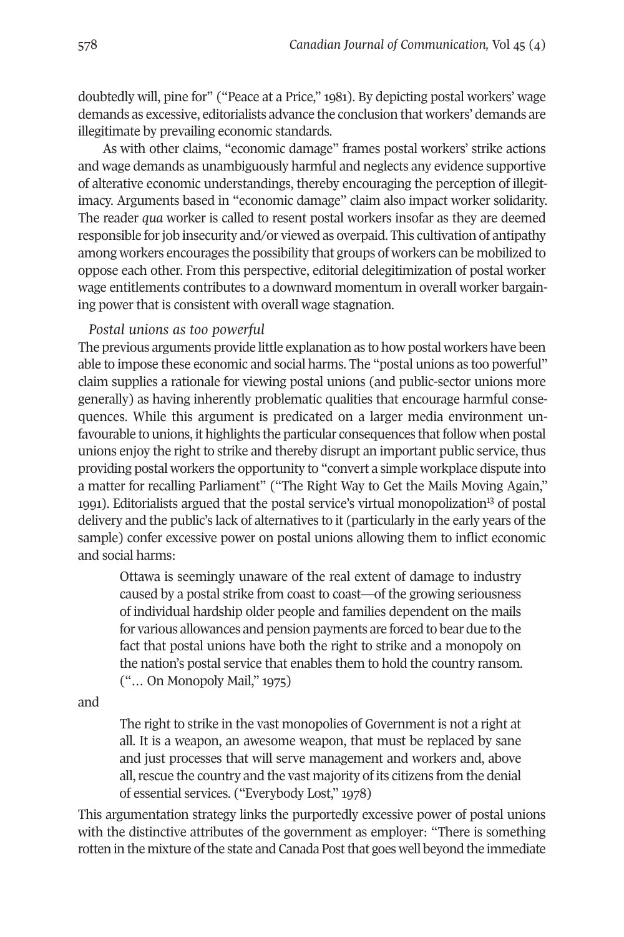doubtedly will, pine for" ("Peace at a Price," 1981). By depicting postal workers' wage demands as excessive, editorialists advance the conclusion that workers' demands are illegitimate by prevailing economic standards.

As with other claims, "economic damage" frames postal workers' strike actions and wage demands as unambiguously harmful and neglects any evidence supportive of alterative economic understandings, thereby encouraging the perception of illegitimacy. Arguments based in "economic damage" claim also impact worker solidarity. The reader *qua* worker is called to resent postal workers insofar as they are deemed responsible for job insecurity and/or viewed as overpaid. This cultivation of antipathy among workers encourages the possibility that groups of workers can be mobilized to oppose each other. From this perspective, editorial delegitimization of postal worker wage entitlements contributes to a downward momentum in overall worker bargaining power that is consistent with overall wage stagnation.

## *Postal unions as too powerful*

The previous arguments provide little explanation as to how postal workers have been able to impose these economic and social harms. The "postal unions as too powerful" claim supplies a rationale for viewing postal unions (and public-sector unions more generally) as having inherently problematic qualities that encourage harmful consequences. While this argument is predicated on a larger media environment unfavourable to unions, it highlights the particular consequences that follow when postal unions enjoy the right to strike and thereby disrupt an important public service, thus providing postal workers the opportunity to "convert a simple workplace dispute into a matter for recalling Parliament" ("The Right Way to Get the Mails Moving Again," 1991). Editorialists argued that the postal service's virtual monopolization<sup>13</sup> of postal delivery and the public's lack of alternatives to it (particularly in the early years of the sample) confer excessive power on postal unions allowing them to inflict economic and social harms:

Ottawa is seemingly unaware of the real extent of damage to industry caused by a postal strike from coast to coast—of the growing seriousness of individual hardship older people and families dependent on the mails for various allowances and pension payments are forced to bear due to the fact that postal unions have both the right to strike and a monopoly on the nation's postal service that enables them to hold the country ransom. ("… On Monopoly Mail," 1975)

and

The right to strike in the vast monopolies of Government is not a right at all. It is a weapon, an awesome weapon, that must be replaced by sane and just processes that will serve management and workers and, above all, rescue the country and the vast majority of its citizens from the denial of essential services. ("Everybody Lost," 1978)

This argumentation strategy links the purportedly excessive power of postal unions with the distinctive attributes of the government as employer: "There is something rotten in the mixture of the state and Canada Post that goes well beyond the immediate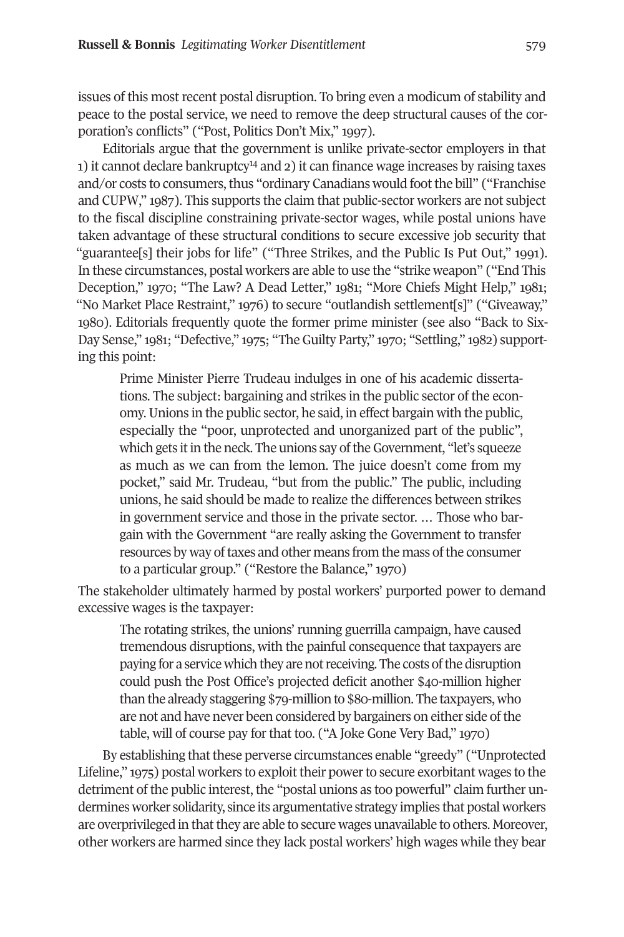issues of this most recent postal disruption. To bring even a modicum of stability and peace to the postal service, we need to remove the deep structural causes of the corporation's conflicts" ("Post, Politics Don't Mix," 1997).

Editorials argue that the [gov](#page-18-4)ernment is unlike private-sector employers in that 1) it cannot declare bankruptcy14 and 2) it can finance wage increases by raising taxes and/or costs to consumers, thus "ordinary Canadians would foot the bill" ("Franchise") and CUPW," 1987). This supports the claim that public-sector workers are not subject to the fiscal discipline constraining private-sector wages, while postal unions have taken advantage of these structural conditions to secure excessive job security that "guarantee[s] their jobs for life" ("Three Strikes, and the Public Is Put Out," 1991). In these circumstances, postal workers are able to use the "strike weapon" ("End This Deception," 1970; "The Law? A Dead Letter," 1981; "More Chiefs Might Help," 1981; "No Market Place Restraint," 1976) to secure "outlandish settlement[s]" ("Giveaway," 1980). Editorials frequently quote the former prime minister (see also "Back to Six-Day Sense," 1981; "Defective," 1975; "The Guilty Party," 1970; "Settling," 1982) supporting this point:

Prime Minister Pierre Trudeau indulges in one of his academic dissertations. The subject: bargaining and strikes in the public sector of the economy.Unions in the public sector, he said, in effect bargain with the public, especially the "poor, unprotected and unorganized part of the public", which gets it in the neck. The unions say of the Government, "let's squeeze as much as we can from the lemon. The juice doesn't come from my pocket," said Mr. Trudeau, "but from the public." The public, including unions, he said should be made to realize the differences between strikes in government service and those in the private sector. … Those who bargain with the Government "are really asking the Government to transfer resources by way of taxes and other means from the mass of the consumer to a particular group." ("Restore the Balance," 1970)

The stakeholder ultimately harmed by postal workers' purported power to demand excessive wages is the taxpayer:

The rotating strikes, the unions' running guerrilla campaign, have caused tremendous disruptions, with the painful consequence that taxpayers are paying for a service which they are not receiving. The costs of the disruption could push the Post Office's projected deficit another \$40-million higher than the already staggering \$79-million to \$80-million. The taxpayers, who are not and have never been considered by bargainers on either side of the table, will of course pay for that too. ("A Joke Gone Very Bad," 1970)

By establishing that these perverse circumstances enable "greedy" ("Unprotected Lifeline," 1975) postal workers to exploit their power to secure exorbitant wages to the detriment of the public interest, the "postal unions as too powerful" claim further undermines worker solidarity, since its argumentative strategy implies that postal workers are overprivileged in that they are able to secure wages unavailable to others. Moreover, other workers are harmed since they lack postal workers' high wages while they bear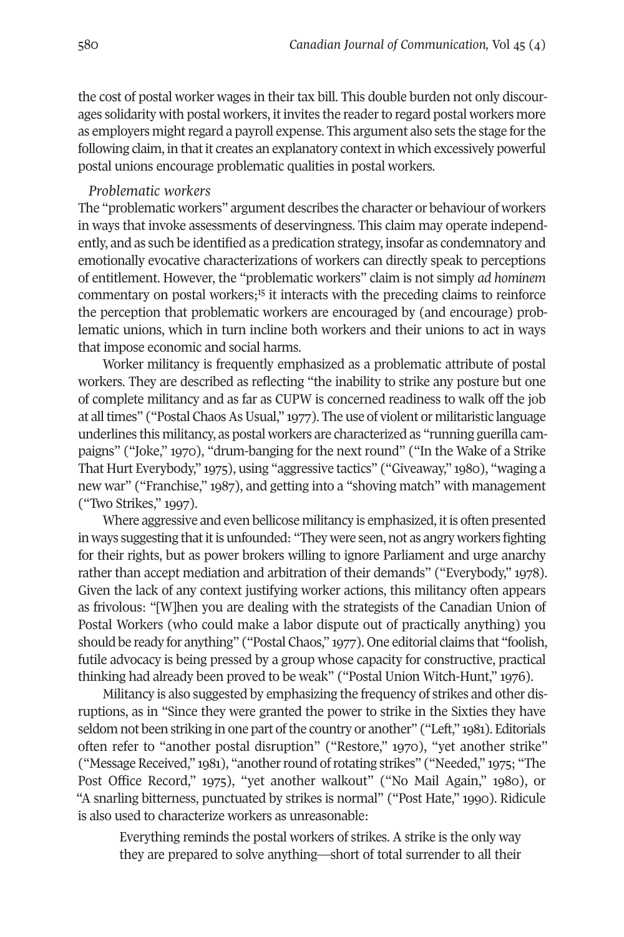the cost of postal worker wages in their tax bill. This double burden not only discourages solidarity with postal workers, it invites the reader to regard postal workers more as employers might regard a payroll expense. This argument also sets the stage for the following claim, in that it creates an explanatory context in which excessively powerful postal unions encourage problematic qualities in postal workers.

#### *Problematic workers*

The "problematic workers" argument describes the character or behaviour of workers in ways that invoke assessments of deservingness. This claim may operate independently, and as such be identified as a predication strategy, insofar as condemnatory and emotionally evocative characterizations of workers can directly speak to perceptions of entitlement. However, the "p[rob](#page-18-5)lematic workers" claim is not simply *ad hominem* commentary on postal workers;<sup>15</sup> it interacts with the preceding claims to reinforce the perception that problematic workers are encouraged by (and encourage) problematic unions, which in turn incline both workers and their unions to act in ways that impose economic and social harms.

Worker militancy is frequently emphasized as a problematic attribute of postal workers. They are described as reflecting "the inability to strike any posture but one of complete militancy and as far as CUPW is concerned readiness to walk off the job at all times" ("Postal Chaos As Usual," 1977). The use of violent or militaristic language underlines this militancy, as postal workers are characterized as "running guerilla campaigns" ("Joke," 1970), "drum-banging for the next round" ("In the Wake of a Strike That Hurt Everybody," 1975), using "aggressive tactics" ("Giveaway," 1980), "waging a new war" ("Franchise," 1987), and getting into a "shoving match" with management ("Two Strikes," 1997).

Where aggressive and even bellicose militancy is emphasized, it is often presented in ways suggesting that it is unfounded: "They were seen, not as angry workers fighting for their rights, but as power brokers willing to ignore Parliament and urge anarchy rather than accept mediation and arbitration of their demands" ("Everybody," 1978). Given the lack of any context justifying worker actions, this militancy often appears as frivolous: "[W]hen you are dealing with the strategists of the Canadian Union of Postal Workers (who could make a labor dispute out of practically anything) you should be ready for anything" ("Postal Chaos," 1977). One editorial claims that "foolish, futile advocacy is being pressed by a group whose capacity for constructive, practical thinking had already been proved to be weak" ("Postal Union Witch-Hunt," 1976).

Militancy is also suggested by emphasizing the frequency of strikes and other disruptions, as in "Since they were granted the power to strike in the Sixties they have seldom not been striking in one part of the country or another" ("Left," 1981). Editorials often refer to "another postal disruption" ("Restore," 1970), "yet another strike" ("Message Received," 1981), "another round of rotating strikes" ("Needed," 1975; "The Post Office Record," 1975), "yet another walkout" ("No Mail Again," 1980), or "A snarling bitterness, punctuated by strikes is normal" ("Post Hate," 1990). Ridicule is also used to characterize workers as unreasonable:

Everything reminds the postal workers of strikes. A strike is the only way they are prepared to solve anything—short of total surrender to all their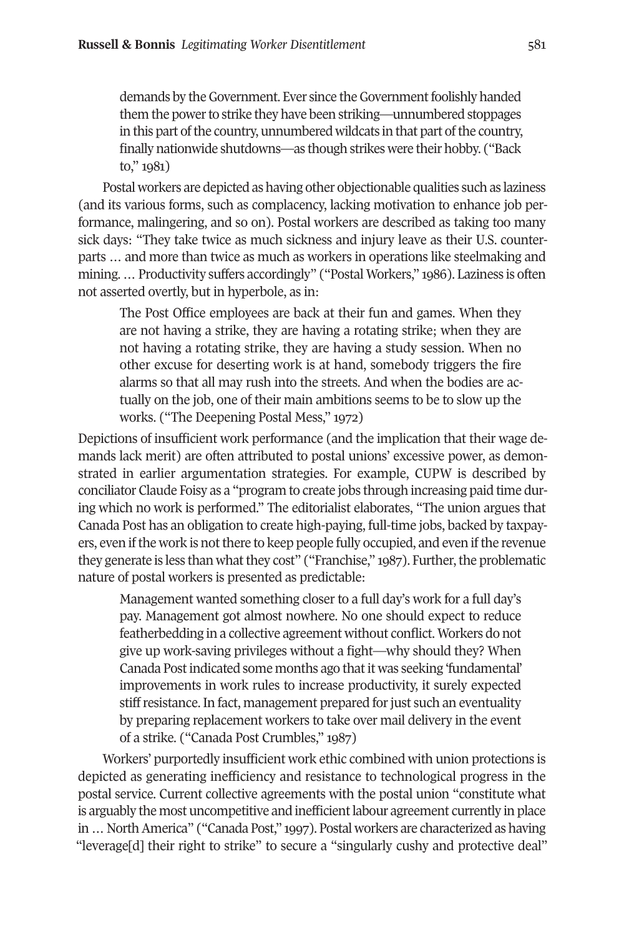demands by the Government. Ever since the Government foolishly handed them the power to strike they have been striking—unnumbered stoppages in this part of the country, unnumbered wildcats in that part of the country, finally nationwide shutdowns—as though strikes were their hobby. ("Back to," 1981)

Postal workers are depicted as having other objectionable qualities such as laziness (and its various forms, such as complacency, lacking motivation to enhance job performance, malingering, and so on). Postal workers are described as taking too many sick days: "They take twice as much sickness and injury leave as their U.S. counterparts … and more than twice as much as workers in operations like steelmaking and mining.... Productivity suffers accordingly" ("Postal Workers," 1986). Laziness is often not asserted overtly, but in hyperbole, as in:

The Post Office employees are back at their fun and games. When they are not having a strike, they are having a rotating strike; when they are not having a rotating strike, they are having a study session. When no other excuse for deserting work is at hand, somebody triggers the fire alarms so that all may rush into the streets. And when the bodies are actually on the job, one of their main ambitions seems to be to slow up the works. ("The Deepening Postal Mess," 1972)

Depictions of insufficient work performance (and the implication that their wage demands lack merit) are often attributed to postal unions' excessive power, as demonstrated in earlier argumentation strategies. For example, CUPW is described by conciliator Claude Foisy as a "program to create jobs through increasing paid time during which no work is performed." The editorialist elaborates, "The union argues that Canada Post has an obligation to create high-paying, full-time jobs, backed by taxpayers, even if the work is not there to keep people fully occupied, and even if the revenue they generate is less than what they cost" ("Franchise," 1987). Further, the problematic nature of postal workers is presented as predictable:

Management wanted something closer to a full day's work for a full day's pay. Management got almost nowhere. No one should expect to reduce featherbedding in a collective agreement without conflict. Workers do not give up work-saving privileges without a fight—why should they? When Canada Post indicated some months ago that it was seeking 'fundamental' improvements in work rules to increase productivity, it surely expected stiff resistance. In fact, management prepared for just such an eventuality by preparing replacement workers to take over mail delivery in the event of a strike. ("Canada Post Crumbles," 1987)

Workers' purportedly insufficient work ethic combined with union protections is depicted as generating inefficiency and resistance to technological progress in the postal service. Current collective agreements with the postal union "constitute what is arguably the most uncompetitive and inefficient labour agreement currently in place in…NorthAmerica" ("Canada Post," 1997). Postal workers are characterized as having "leverage[d] their right to strike" to secure a "singularly cushy and protective deal"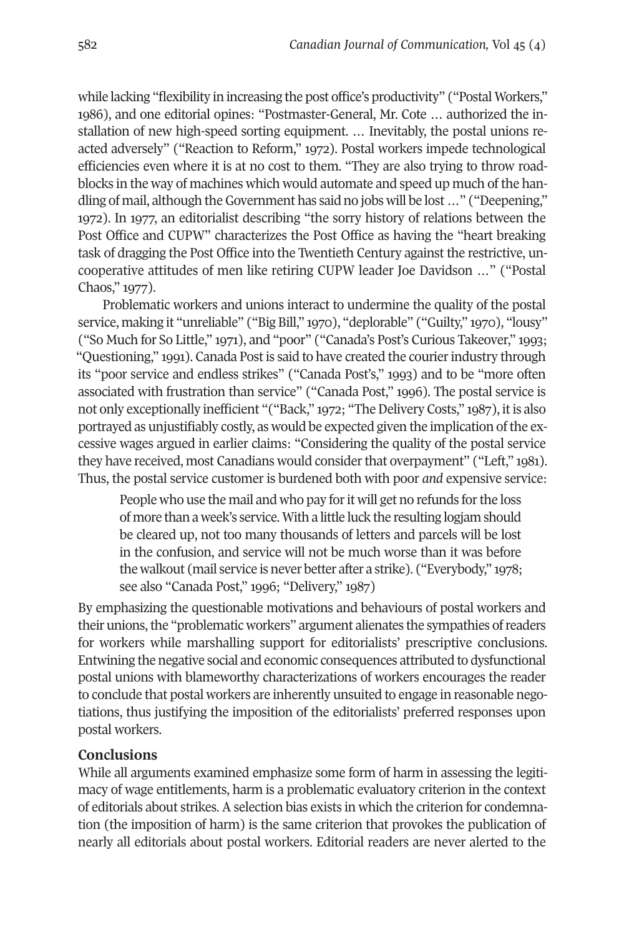while lacking "flexibility in increasing the post office's productivity" ("Postal Workers," 1986), and one editorial opines: "Postmaster-General, Mr. Cote … authorized the installation of new high-speed sorting equipment. … Inevitably, the postal unions reacted adversely" ("Reaction to Reform," 1972). Postal workers impede technological efficiencies even where it is at no cost to them. "They are also trying to throw roadblocks in the way of machines which would automate and speed up much of the handling of mail, although theGovernment has said no jobs will be lost …" ("Deepening," 1972). In 1977, an editorialist describing "the sorry history of relations between the Post Office and CUPW" characterizes the Post Office as having the "heart breaking task of dragging the Post Office into the Twentieth Century against the restrictive, uncooperative attitudes of men like retiring CUPW leader Joe Davidson …" ("Postal Chaos," 1977).

Problematic workers and unions interact to undermine the quality of the postal service, making it "unreliable" ("Big Bill," 1970), "deplorable" ("Guilty," 1970), "lousy" ("So Much for So Little," 1971), and "poor" ("Canada's Post's Curious Takeover," 1993; "Questioning," 1991). Canada Post is said to have created the courier industry through its "poor service and endless strikes" ("Canada Post's," 1993) and to be "more often associated with frustration than service" ("Canada Post," 1996). The postal service is not only exceptionally inefficient "("Back," 1972; "The Delivery Costs," 1987), it is also portrayed as unjustifiably costly, as would be expected given the implication of the excessive wages argued in earlier claims: "Considering the quality of the postal service they have received, most Canadians would considerthat overpayment" ("Left," 1981). Thus, the postal service customer is burdened both with poor *and* expensive service:

People who use the mail and who pay for it will get no refunds for the loss of more than a week's service. With a little luck the resulting logjam should be cleared up, not too many thousands of letters and parcels will be lost in the confusion, and service will not be much worse than it was before the walkout (mail service is never better after a strike). ("Everybody," 1978; see also "Canada Post," 1996; "Delivery," 1987)

By emphasizing the questionable motivations and behaviours of postal workers and their unions, the "problematic workers" argument alienates the sympathies of readers for workers while marshalling support for editorialists' prescriptive conclusions. Entwining the negative social and economic consequences attributed to dysfunctional postal unions with blameworthy characterizations of workers encourages the reader to conclude that postal workers are inherently unsuited to engage in reasonable negotiations, thus justifying the imposition of the editorialists' preferred responses upon postal workers.

# **Conclusions**

While all arguments examined emphasize some form of harm in assessing the legitimacy of wage entitlements, harm is a problematic evaluatory criterion in the context of editorials about strikes. A selection bias exists in which the criterion for condemnation (the imposition of harm) is the same criterion that provokes the publication of nearly all editorials about postal workers. Editorial readers are never alerted to the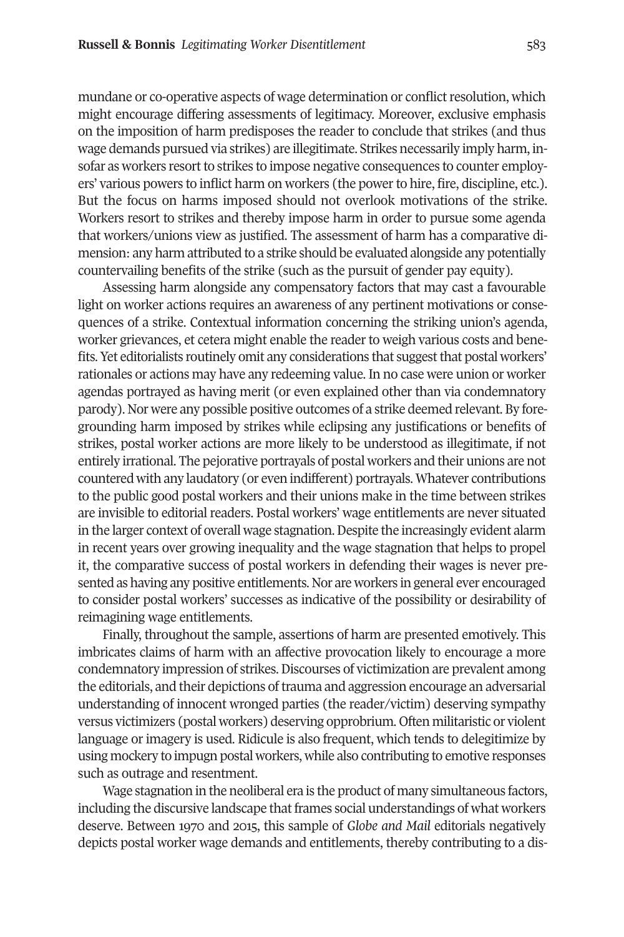mundane or co-operative aspects of wage determination or conflict resolution, which might encourage differing assessments of legitimacy. Moreover, exclusive emphasis on the imposition of harm predisposes the reader to conclude that strikes (and thus wage demands pursued via strikes) are illegitimate. Strikes necessarily imply harm, insofar as workers resort to strikes to impose negative consequences to counter employers' various powers to inflict harm on workers (the powerto hire, fire, discipline, etc.). But the focus on harms imposed should not overlook motivations of the strike. Workers resort to strikes and thereby impose harm in order to pursue some agenda that workers/unions view as justified. The assessment of harm has a comparative dimension: any harm attributed to a strike should be evaluated alongside any potentially countervailing benefits of the strike (such as the pursuit of gender pay equity).

Assessing harm alongside any compensatory factors that may cast a favourable light on worker actions requires an awareness of any pertinent motivations or consequences of a strike. Contextual information concerning the striking union's agenda, worker grievances, et cetera might enable the reader to weigh various costs and benefits. Yet editorialists routinely omit any considerations that suggest that postal workers' rationales or actions may have any redeeming value. In no case were union or worker agendas portrayed as having merit (or even explained other than via condemnatory parody). Nor were any possible positive outcomes of a strike deemed relevant. By foregrounding harm imposed by strikes while eclipsing any justifications or benefits of strikes, postal worker actions are more likely to be understood as illegitimate, if not entirely irrational. The pejorative portrayals of postal workers and their unions are not countered with any laudatory (or even indifferent) portrayals. Whatever contributions to the public good postal workers and their unions make in the time between strikes are invisible to editorial readers. Postal workers' wage entitlements are never situated in the larger context of overall wage stagnation. Despite the increasingly evident alarm in recent years over growing inequality and the wage stagnation that helps to propel it, the comparative success of postal workers in defending their wages is never presented as having any positive entitlements. Nor are workers in general ever encouraged to consider postal workers' successes as indicative of the possibility or desirability of reimagining wage entitlements.

Finally, throughout the sample, assertions of harm are presented emotively. This imbricates claims of harm with an affective provocation likely to encourage a more condemnatory impression of strikes. Discourses of victimization are prevalent among the editorials, and their depictions of trauma and aggression encourage an adversarial understanding of innocent wronged parties (the reader/victim) deserving sympathy versus victimizers (postal workers) deserving opprobrium. Often militaristic or violent language or imagery is used. Ridicule is also frequent, which tends to delegitimize by using mockery to impugn postal workers, while also contributing to emotive responses such as outrage and resentment.

Wage stagnation in the neoliberal era is the product of many simultaneous factors, including the discursive landscape that frames social understandings of what workers deserve. Between 1970 and 2015, this sample of *Globe and Mail* editorials negatively depicts postal worker wage demands and entitlements, thereby contributing to a dis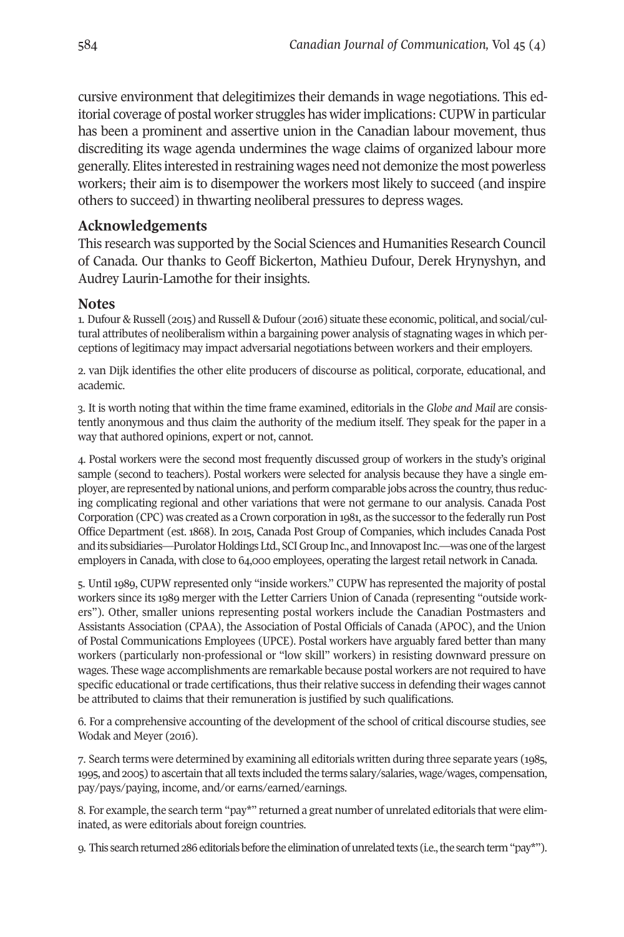cursive environment that delegitimizes their demands in wage negotiations. This editorial coverage of postal worker struggles has widerimplications: CUPW in particular has been a prominent and assertive union in the Canadian labour movement, thus discrediting its wage agenda undermines the wage claims of organized labour more generally. Elites interested in restraining wages need not demonize the most powerless workers; their aim is to disempower the workers most likely to succeed (and inspire others to succeed) in thwarting neoliberal pressures to depress wages.

# **Acknowledgements**

This research was supported by the Social Sciences and Humanities Research Council of Canada. Our thanks to Geoff Bickerton, Mathieu Dufour, Derek Hrynyshyn, and Audrey Laurin-Lamothe for their insights.

# **Notes**

<span id="page-17-0"></span>1. Dufour & Russell (2015) and Russell & Dufour (2016) situate these economic, political, and social/cultural attributes of neoliberalism within a bargaining power analysis of stagnating wages in which perceptions of legitimacy may impact adversarial negotiations between workers and their employers.

<span id="page-17-1"></span>2. van Dijk identifies the other elite producers of discourse as political, corporate, educational, and academic.

3. It is worth noting that within the time frame examined, editorials in the *Globe and Mail* are consistently anonymous and thus claim the authority of the medium itself. They speak for the paper in a way that authored opinions, expert or not, cannot.

4. Postal workers were the second most frequently discussed group of workers in the study's original sample (second to teachers). Postal workers were selected for analysis because they have a single employer, are represented by national unions, and perform comparable jobs across the country, thus reducing complicating regional and other variations that were not germane to our analysis. Canada Post Corporation (CPC) was created as a Crown corporation in 1981, as the successorto the federally run Post Office Department (est. 1868). In 2015, Canada Post Group of Companies, which includes Canada Post and its subsidiaries—Purolator Holdings Ltd., SCI Group Inc., and Innovapost Inc.—was one of the largest employers in Canada, with close to 64,000 employees, operating the largest retail network in Canada.

5. Until 1989, CUPW represented only "inside workers." CUPW has represented the majority of postal workers since its 1989 merger with the Letter Carriers Union of Canada (representing "outside workers"). Other, smaller unions representing postal workers include the Canadian Postmasters and Assistants Association (CPAA), the Association of Postal Officials of Canada (APOC), and the Union of Postal Communications Employees (UPCE). Postal workers have arguably fared better than many workers (particularly non-professional or "low skill" workers) in resisting downward pressure on wages. These wage accomplishments are remarkable because postal workers are notrequired to have specific educational or trade certifications, thus their relative success in defending their wages cannot be attributed to claims that their remuneration is justified by such qualifications.

<span id="page-17-2"></span>6. For a comprehensive accounting of the development of the school of critical discourse studies, see Wodak and Meyer (2016).

7. Search terms were determined by examining all editorials written during three separate years (1985, 1995, and 2005) to ascertain that alltexts included the terms salary/salaries, wage/wages, compensation, pay/pays/paying, income, and/or earns/earned/earnings.

<span id="page-17-3"></span>8. For example, the search term "pay\*" returned a great number of unrelated editorials that were eliminated, as were editorials about foreign countries.

<span id="page-17-4"></span>9. This search returned 286 editorials before the elimination of unrelated texts (i.e., the search term "pay\*").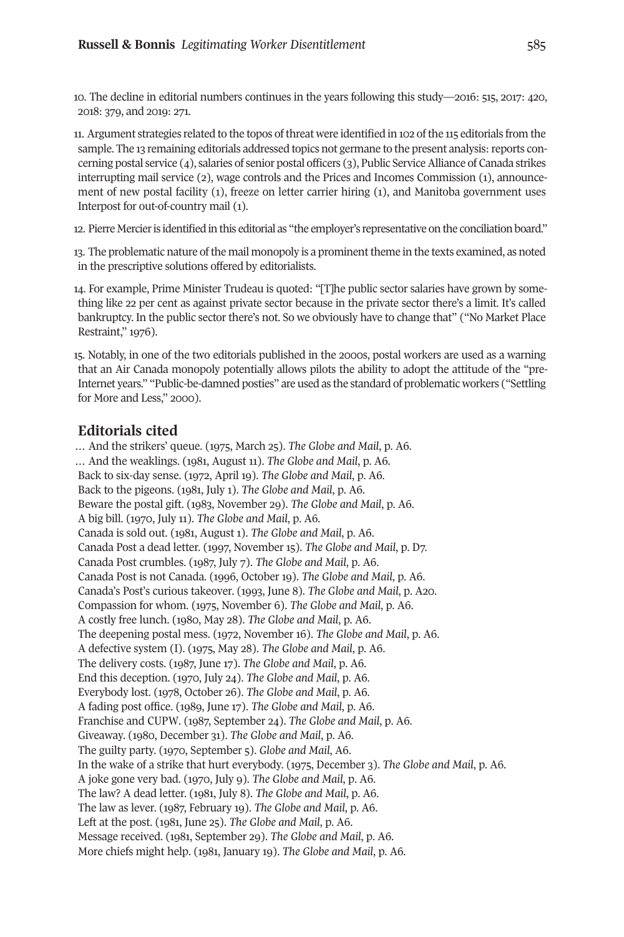<span id="page-18-0"></span>10. The decline in editorial numbers continues in the years following this study—2016: 515, 2017: 420, 2018: 379, and 2019: 271.

<span id="page-18-1"></span>11. Argument strategies related to the topos ofthreat were identified in 102 ofthe 115 editorials from the sample. The 13 remaining editorials addressed topics not germane to the present analysis: reports concerning postal service (4), salaries of senior postal officers (3), Public ServiceAlliance of Canada strikes interrupting mail service (2), wage controls and the Prices and Incomes Commission (1), announcement of new postal facility (1), freeze on letter carrier hiring (1), and Manitoba government uses Interpost for out-of-country mail (1).

<span id="page-18-2"></span>12. Pierre Mercier is identified in this editorial as "the employer's representative on the conciliation board."

<span id="page-18-3"></span>13. The problematic nature of the mail monopoly is a prominent theme in the texts examined, as noted in the prescriptive solutions offered by editorialists.

<span id="page-18-4"></span>14. For example, Prime Minister Trudeau is quoted: "[T]he public sector salaries have grown by something like 22 per cent as against private sector because in the private sector there's a limit. It's called bankruptcy. In the public sector there's not. So we obviously have to change that" ("No Market Place Restraint," 1976).

15. Notably, in one of the two editorials published in the 2000s, postal workers are used as a warning that an Air Canada monopoly potentially allows pilots the ability to adopt the attitude of the "pre-Internet years." "Public-be-damned posties" are used as the standard of problematic workers ("Settling for More and Less," 2000).

## <span id="page-18-5"></span>**Editorials cited**

… And the strikers' queue. (1975, March 25). *The Globe and Mail*, p. A6. … And the weaklings. (1981, August 11). *The Globe and Mail*, p. A6. Back to six-day sense. (1972, April 19). *The Globe and Mail*, p. A6. Back to the pigeons. (1981, July 1). *The Globe and Mail*, p. A6. Beware the postal gift. (1983, November 29). *The Globe and Mail*, p. A6. A big bill. (1970, July 11). *The Globe and Mail*, p. A6. Canada is sold out. (1981, August 1). *The Globe and Mail*, p. A6. Canada Post a dead letter. (1997, November 15). *The Globe and Mail*, p. D7. Canada Post crumbles. (1987, July 7). *The Globe and Mail*, p. A6. Canada Post is not Canada. (1996, October 19). *The Globe and Mail*, p. A6. Canada's Post's curious takeover. (1993, June 8). *The Globe and Mail*, p. A20. Compassion for whom. (1975, November 6). *The Globe and Mail*, p. A6. A costly free lunch. (1980, May 28). *The Globe and Mail*, p. A6. The deepening postal mess. (1972, November 16). *The Globe and Mail*, p. A6. A defective system (I). (1975, May 28). *The Globe and Mail*, p. A6. The delivery costs. (1987, June 17). *The Globe and Mail*, p. A6. End this deception. (1970, July 24). *The Globe and Mail*, p. A6. Everybody lost. (1978, October 26). *The Globe and Mail*, p. A6. A fading post office. (1989, June 17). *The Globe and Mail*, p. A6. Franchise and CUPW. (1987, September 24). *The Globe and Mail*, p. A6. Giveaway. (1980, December 31). *The Globe and Mail*, p. A6. The guilty party. (1970, September 5). *Globe and Mail*, A6. In the wake of a strike that hurt everybody. (1975, December 3). *The Globe and Mail*, p. A6. A joke gone very bad. (1970, July 9). *The Globe and Mail*, p. A6. The law? A dead letter. (1981, July 8). *The Globe and Mail*, p. A6. The law as lever. (1987, February 19). *The Globe and Mail*, p. A6. Left at the post. (1981, June 25). *The Globe and Mail*, p. A6. Message received. (1981, September 29). *The Globe and Mail*, p. A6. More chiefs might help. (1981, January 19). *The Globe and Mail*, p. A6.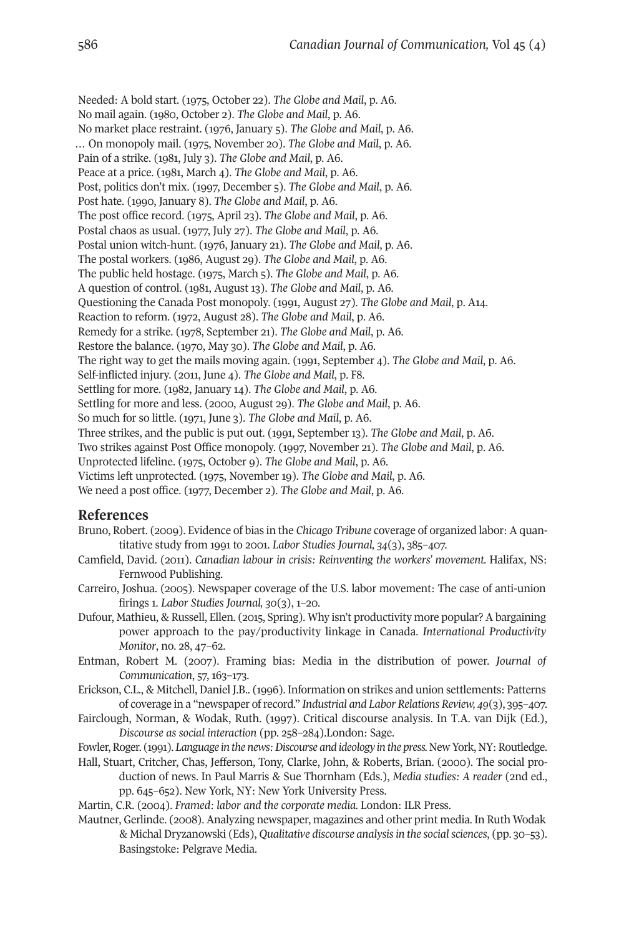Needed: A bold start. (1975, October 22). *The Globe and Mail*, p. A6. No mail again. (1980, October 2). *The Globe and Mail*, p. A6. No market place restraint. (1976, January 5). *The Globe and Mail*, p. A6. … On monopoly mail. (1975, November 20). *The Globe and Mail*, p. A6. Pain of a strike. (1981, July 3). *The Globe and Mail*, p. A6. Peace at a price. (1981, March 4). *The Globe and Mail*, p. A6. Post, politics don't mix. (1997, December 5). *The Globe and Mail*, p. A6. Post hate. (1990, January 8). *The Globe and Mail*, p. A6. The post office record. (1975, April 23). *The Globe and Mail*, p. A6. Postal chaos as usual. (1977, July 27). *The Globe and Mail*, p. A6. Postal union witch-hunt. (1976, January 21). *The Globe and Mail*, p. A6. The postal workers. (1986, August 29). *The Globe and Mail*, p. A6. The public held hostage. (1975, March 5). *The Globe and Mail*, p. A6. A question of control. (1981, August 13). *The Globe and Mail*, p. A6. Questioning the Canada Post monopoly. (1991, August 27). *The Globe and Mail*, p. A14. Reaction to reform. (1972, August 28). *The Globe and Mail*, p. A6. Remedy for a strike. (1978, September 21). *The Globe and Mail*, p. A6. Restore the balance. (1970, May 30). *The Globe and Mail*, p. A6. The right way to get the mails moving again. (1991, September 4). *The Globe and Mail*, p. A6. Self-inflicted injury. (2011, June 4). *The Globe and Mail*, p. F8. Settling for more. (1982, January 14). *The Globe and Mail*, p. A6. Settling for more and less. (2000, August 29). *The Globe and Mail*, p. A6. So much for so little. (1971, June 3). *The Globe and Mail*, p. A6. Three strikes, and the public is put out. (1991, September 13). *The Globe and Mail*, p. A6. Two strikes against Post Office monopoly. (1997, November 21). *The Globe and Mail*, p. A6. Unprotected lifeline. (1975, October 9). *The Globe and Mail*, p. A6. Victims left unprotected. (1975, November 19). *The Globe and Mail*, p. A6. We need a post office. (1977, December 2). *The Globe and Mail*, p. A6.

#### **References**

- Bruno, Robert. (2009). Evidence of bias in the *Chicago Tribune* coverage of organized labor: A quantitative study from 1991 to 2001. *Labor Studies Journal, 34*(3), 385–407.
- Camfield, David. (2011). *Canadian labour in crisis: Reinventing the workers' movement.* Halifax, NS: Fernwood Publishing.
- Carreiro, Joshua. (2005). Newspaper coverage of the U.S. labor movement: The case of anti-union firings 1. *Labor Studies Journal, 30*(3), 1–20.
- Dufour, Mathieu, & Russell, Ellen. (2015, Spring). Why isn't productivity more popular? A bargaining power approach to the pay/productivity linkage in Canada. *International Productivity Monitor*, no. 28, 47–62.
- Entman, Robert M. (2007). Framing bias: Media in the distribution of power. *Journal of Communication*, 57, 163–173.
- Erickson, C.L., & Mitchell, Daniel J.B.. (1996). Information on strikes and union settlements: Patterns of coverage in a "newspaper ofrecord." *Industrial and Labor Relations Review, 49*(3), 395–407.
- Fairclough, Norman, & Wodak, Ruth. (1997). Critical discourse analysis. In T.A. van Dijk (Ed.), *Discourse as social interaction* (pp. 258–284).London: Sage.
- Fowler,Roger. (1991). *Language in the news:Discourse and ideology in the press.* New York, NY:Routledge.
- Hall, Stuart, Critcher, Chas, Jefferson, Tony, Clarke, John, & Roberts, Brian. (2000). The social production of news. In Paul Marris & Sue Thornham (Eds.), *Media studies: A reader* (2nd ed., pp. 645–652). New York, NY: New York University Press.
- Martin, C.R. (2004). *Framed: labor and the corporate media.* London: ILR Press.
- Mautner, Gerlinde. (2008). Analyzing newspaper, magazines and other print media. In Ruth Wodak & Michal Dryzanowski (Eds), *Qualitative discourse analysisin the socialsciences*, (pp. 30–53). Basingstoke: Pelgrave Media.